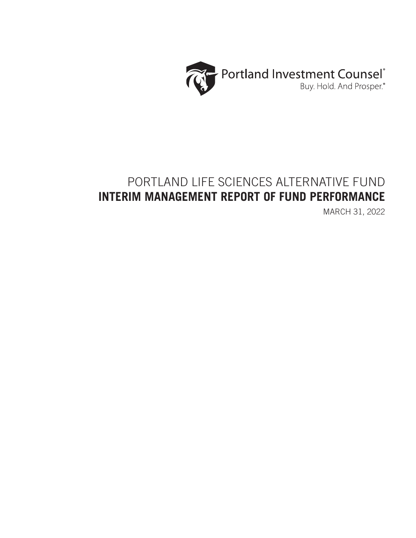

# PORTLAND LIFE SCIENCES ALTERNATIVE FUND **INTERIM MANAGEMENT REPORT OF FUND PERFORMANCE**

MARCH 31, 2022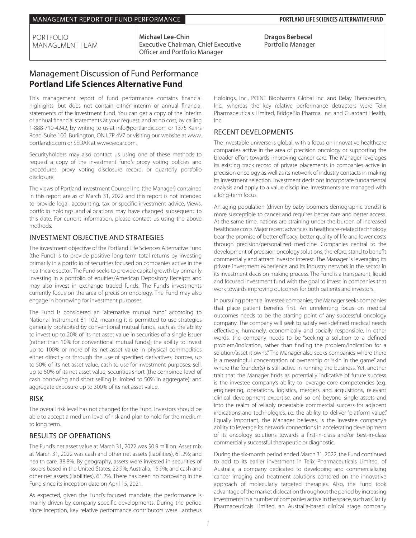PORTFOLIO MANAGEMENT TEAM **Michael Lee-Chin** Executive Chairman, Chief Executive Officer and Portfolio Manager

**Dragos Berbecel** Portfolio Manager

## Management Discussion of Fund Performance **Portland Life Sciences Alternative Fund**

This management report of fund performance contains financial highlights, but does not contain either interim or annual financial statements of the investment fund. You can get a copy of the interim or annual financial statements at your request, and at no cost, by calling 1-888-710-4242, by writing to us at info@portlandic.com or 1375 Kerns Road, Suite 100, Burlington, ON L7P 4V7 or visiting our website at www. portlandic.com or SEDAR at www.sedar.com.

Securityholders may also contact us using one of these methods to request a copy of the investment fund's proxy voting policies and procedures, proxy voting disclosure record, or quarterly portfolio disclosure.

The views of Portland Investment Counsel Inc. (the Manager) contained in this report are as of March 31, 2022 and this report is not intended to provide legal, accounting, tax or specific investment advice. Views, portfolio holdings and allocations may have changed subsequent to this date. For current information, please contact us using the above methods.

## INVESTMENT OBJECTIVE AND STRATEGIES

The investment objective of the Portland Life Sciences Alternative Fund (the Fund) is to provide positive long-term total returns by investing primarily in a portfolio of securities focused on companies active in the healthcare sector. The Fund seeks to provide capital growth by primarily investing in a portfolio of equities/American Depository Receipts and may also invest in exchange traded funds. The Fund's investments currently focus on the area of precision oncology. The Fund may also engage in borrowing for investment purposes.

The Fund is considered an "alternative mutual fund" according to National Instrument 81-102, meaning it is permitted to use strategies generally prohibited by conventional mutual funds, such as the ability to invest up to 20% of its net asset value in securities of a single issuer (rather than 10% for conventional mutual funds); the ability to invest up to 100% or more of its net asset value in physical commodities either directly or through the use of specified derivatives; borrow, up to 50% of its net asset value, cash to use for investment purposes; sell, up to 50% of its net asset value, securities short (the combined level of cash borrowing and short selling is limited to 50% in aggregate); and aggregate exposure up to 300% of its net asset value.

## RISK

The overall risk level has not changed for the Fund. Investors should be able to accept a medium level of risk and plan to hold for the medium to long term.

## RESULTS OF OPERATIONS

The Fund's net asset value at March 31, 2022 was \$0.9 million. Asset mix at March 31, 2022 was cash and other net assets (liabilities), 61.2%; and health care, 38.8%. By geography, assets were invested in securities of issuers based in the United States, 22.9%; Australia, 15.9%; and cash and other net assets (liabilities), 61.2%. There has been no borrowing in the Fund since its inception date on April 15, 2021.

As expected, given the Fund's focused mandate, the performance is mainly driven by company specific developments. During the period since inception, key relative performance contributors were Lantheus

Holdings, Inc., POINT Biopharma Global Inc. and Relay Therapeutics, Inc., whereas the key relative performance detractors were Telix Pharmaceuticals Limited, BridgeBio Pharma, Inc. and Guardant Health, Inc.

## RECENT DEVELOPMENTS

The investable universe is global, with a focus on innovative healthcare companies active in the area of precision oncology or supporting the broader effort towards improving cancer care. The Manager leverages its existing track record of private placements in companies active in precision oncology as well as its network of industry contacts in making its investment selection. Investment decisions incorporate fundamental analysis and apply to a value discipline. Investments are managed with a long-term focus.

An aging population (driven by baby boomers demographic trends) is more susceptible to cancer and requires better care and better access. At the same time, nations are straining under the burden of increased healthcare costs. Major recent advances in healthcare-related technology bear the promise of better efficacy, better quality of life and lower costs through precision/personalized medicine. Companies central to the development of precision oncology solutions, therefore, stand to benefit commercially and attract investor interest. The Manager is leveraging its private investment experience and its industry network in the sector in its investment decision making process. The Fund is a transparent, liquid and focused investment fund with the goal to invest in companies that work towards improving outcomes for both patients and investors.

In pursuing potential investee companies, the Manager seeks companies that place patient benefits first. An unrelenting focus on medical outcomes needs to be the starting point of any successful oncology company. The company will seek to satisfy well-defined medical needs effectively, humanely, economically and socially responsible. In other words, the company needs to be "seeking a solution to a defined problem/indication, rather than finding the problem/indication for a solution/asset it owns." The Manager also seeks companies where there is a meaningful concentration of ownership or "skin in the game" and where the founder(s) is still active in running the business. Yet, another trait that the Manager finds as potentially indicative of future success is the investee company's ability to leverage core competencies (e.g. engineering, operations, logistics, mergers and acquisitions, relevant clinical development expertise, and so on) beyond single assets and into the realm of reliably repeatable commercial success for adjacent indications and technologies, i.e. the ability to deliver "platform value." Equally important, the Manager believes, is the investee company's ability to leverage its network connections in accelerating development of its oncology solutions towards a first-in-class and/or best-in-class commercially successful therapeutic or diagnostic.

During the six-month period ended March 31, 2022, the Fund continued to add to its earlier investment in Telix Pharmaceuticals Limited, of Australia, a company dedicated to developing and commercializing cancer imaging and treatment solutions centered on the innovative approach of molecularly targeted therapies. Also, the Fund took advantage of the market dislocation throughout the period by increasing investments in a number of companies active in the space, such as Clarity Pharmaceuticals Limited, an Australia-based clinical stage company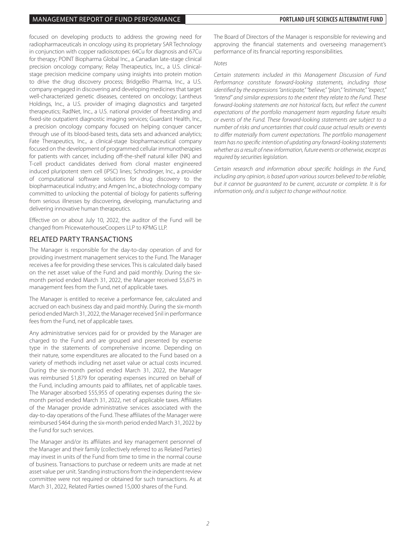#### MANAGEMENT REPORT OF FUND PERFORMANCE **PORTLAND LIFE SCIENCES ALTERNATIVE FUND**

focused on developing products to address the growing need for radiopharmaceuticals in oncology using its proprietary SAR Technology in conjunction with copper radioisotopes: 64Cu for diagnosis and 67Cu for therapy; POINT Biopharma Global Inc., a Canadian late-stage clinical precision oncology company; Relay Therapeutics, Inc., a U.S. clinicalstage precision medicine company using insights into protein motion to drive the drug discovery process; BridgeBio Pharma, Inc., a U.S. company engaged in discovering and developing medicines that target well-characterized genetic diseases, centered on oncology; Lantheus Holdings, Inc., a U.S. provider of imaging diagnostics and targeted therapeutics; RadNet, Inc., a U.S. national provider of freestanding and fixed-site outpatient diagnostic imaging services; Guardant Health, Inc., a precision oncology company focused on helping conquer cancer through use of its blood-based tests, data sets and advanced analytics; Fate Therapeutics, Inc., a clinical-stage biopharmaceutical company focused on the development of programmed cellular immunotherapies for patients with cancer, including off-the-shelf natural killer (NK) and T-cell product candidates derived from clonal master engineered induced pluripotent stem cell (iPSC) lines; Schrodinger, Inc., a provider of computational software solutions for drug discovery to the biopharmaceutical industry; and Amgen Inc., a biotechnology company committed to unlocking the potential of biology for patients suffering from serious illnesses by discovering, developing, manufacturing and delivering innovative human therapeutics.

Effective on or about July 10, 2022, the auditor of the Fund will be changed from PricewaterhouseCoopers LLP to KPMG LLP.

### RELATED PARTY TRANSACTIONS

The Manager is responsible for the day-to-day operation of and for providing investment management services to the Fund. The Manager receives a fee for providing these services. This is calculated daily based on the net asset value of the Fund and paid monthly. During the sixmonth period ended March 31, 2022, the Manager received \$5,675 in management fees from the Fund, net of applicable taxes.

The Manager is entitled to receive a performance fee, calculated and accrued on each business day and paid monthly. During the six-month period ended March 31, 2022, the Manager received \$nil in performance fees from the Fund, net of applicable taxes.

Any administrative services paid for or provided by the Manager are charged to the Fund and are grouped and presented by expense type in the statements of comprehensive income. Depending on their nature, some expenditures are allocated to the Fund based on a variety of methods including net asset value or actual costs incurred. During the six-month period ended March 31, 2022, the Manager was reimbursed \$1,879 for operating expenses incurred on behalf of the Fund, including amounts paid to affiliates, net of applicable taxes. The Manager absorbed \$55,955 of operating expenses during the sixmonth period ended March 31, 2022, net of applicable taxes. Affiliates of the Manager provide administrative services associated with the day-to-day operations of the Fund. These affiliates of the Manager were reimbursed \$464 during the six-month period ended March 31, 2022 by the Fund for such services.

The Manager and/or its affiliates and key management personnel of the Manager and their family (collectively referred to as Related Parties) may invest in units of the Fund from time to time in the normal course of business. Transactions to purchase or redeem units are made at net asset value per unit. Standing instructions from the independent review committee were not required or obtained for such transactions. As at March 31, 2022, Related Parties owned 15,000 shares of the Fund.

The Board of Directors of the Manager is responsible for reviewing and approving the financial statements and overseeing management's performance of its financial reporting responsibilities.

#### *Notes*

*Certain statements included in this Management Discussion of Fund Performance constitute forward-looking statements, including those identified by the expressions "anticipate," "believe," "plan," "estimate," "expect," "intend" and similar expressions to the extent they relate to the Fund. These forward-looking statements are not historical facts, but reflect the current expectations of the portfolio management team regarding future results or events of the Fund. These forward-looking statements are subject to a number of risks and uncertainties that could cause actual results or events to differ materially from current expectations. The portfolio management team has no specific intention of updating any forward-looking statements whether as a result of new information, future events or otherwise, except as required by securities legislation.*

*Certain research and information about specific holdings in the Fund, including any opinion, is based upon various sources believed to be reliable, but it cannot be guaranteed to be current, accurate or complete. It is for information only, and is subject to change without notice.*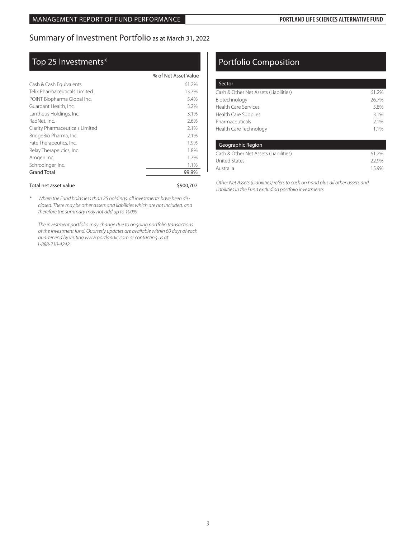## Summary of Investment Portfolio as at March 31, 2022

## Top 25 Investments\*

|                                 | % of Net Asset Value |
|---------------------------------|----------------------|
| Cash & Cash Equivalents         | 61.2%                |
| Telix Pharmaceuticals Limited   | 13.7%                |
| POINT Biopharma Global Inc.     | 5.4%                 |
| Guardant Health, Inc.           | 3.2%                 |
| Lantheus Holdings, Inc.         | 3.1%                 |
| RadNet, Inc.                    | 2.6%                 |
| Clarity Pharmaceuticals Limited | 2.1%                 |
| BridgeBio Pharma, Inc.          | 2.1%                 |
| Fate Therapeutics, Inc.         | 1.9%                 |
| Relay Therapeutics, Inc.        | 1.8%                 |
| Amgen Inc.                      | 1.7%                 |
| Schrodinger, Inc.               | 1.1%                 |
| <b>Grand Total</b>              | 99.9%                |
|                                 |                      |

#### Total net asset value  $$900,707$

*\* Where the Fund holds less than 25 holdings, all investments have been disclosed. There may be other assets and liabilities which are not included, and therefore the summary may not add up to 100%.*

*The investment portfolio may change due to ongoing portfolio transactions of the investment fund. Quarterly updates are available within 60 days of each quarter end by visiting www.portlandic.com or contacting us at 1-888-710-4242.*

## Portfolio Composition

| Sector                                |       |
|---------------------------------------|-------|
| Cash & Other Net Assets (Liabilities) | 61.2% |
| Biotechnology                         | 26.7% |
| <b>Health Care Services</b>           | 5.8%  |
| Health Care Supplies                  | 3.1%  |
| Pharmaceuticals                       | 2.1%  |
| Health Care Technology                | 11%   |

| Geographic Region                     |       |
|---------------------------------------|-------|
| Cash & Other Net Assets (Liabilities) | 61.2% |
| <b>United States</b>                  | 22.9% |
| Australia                             | 15.9% |

 *Other Net Assets (Liabilities) refers to cash on hand plus all other assets and liabilities in the Fund excluding portfolio investments*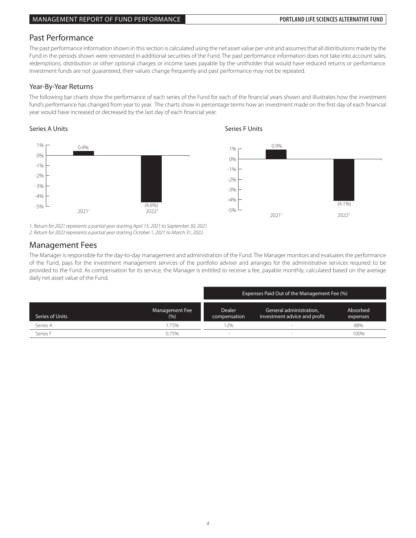## Past Performance

The past performance information shown in this section is calculated using the net asset value per unit and assumes that all distributions made by the Fund in the periods shown were reinvested in additional securities of the Fund. The past performance information does not take into account sales, redemptions, distribution or other optional charges or income taxes payable by the unitholder that would have reduced returns or performance. Investment funds are not guaranteed, their values change frequently and past performance may not be repeated.

### Year-By-Year Returns

The following bar charts show the performance of each series of the Fund for each of the financial years shown and illustrates how the investment fund's performance has changed from year to year. The charts show in percentage terms how an investment made on the first day of each financial year would have increased or decreased by the last day of each financial year.

## Series A



*1. Return for 2021 represents a partial year starting April 15, 2021 to September 30, 2021.*

*2. Return for 2022 represents a partial year starting October 1, 2021 to March 31, 2022.*

## Management Fees

rvid rugerment rees<br>The Manager is responsible for the day-to-day management and administration of the Fund. The Manager monitors and evaluates the performance provided to the Fund. As compensation for its service, the Manager is entitled to receive a fee, payable monthly, calculated based on the average endaily net asset value of the Fund. of the Fund, pays for the investment management services of the portfolio adviser and arranges for the administrative services required to be

|                 |                       | Expenses Paid Out of the Management Fee (%) |                                                         |                      |
|-----------------|-----------------------|---------------------------------------------|---------------------------------------------------------|----------------------|
| Series of Units | Management Fee<br>(%) | <b>Dealer</b><br>compensation               | General administration,<br>investment advice and profit | Absorbed<br>expenses |
| Series A        | 1.75%                 | 12%                                         |                                                         | 88%                  |
| Series F        | 0.75%                 |                                             | $\overline{\phantom{a}}$                                | 100%                 |

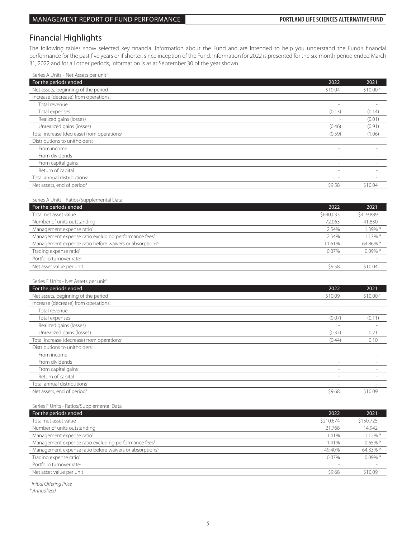## Financial Highlights

The following tables show selected key financial information about the Fund and are intended to help you understand the Fund's financial performance for the past five years or if shorter, since inception of the Fund. Information for 2022 is presented for the six-month period ended March 31, 2022 and for all other periods, information is as at September 30 of the year shown.

| Series A Units - Net Assets per unit <sup>1</sup>                   |                          |            |
|---------------------------------------------------------------------|--------------------------|------------|
| For the periods ended                                               | 2022                     | 2021       |
| Net assets, beginning of the period                                 | \$10.04                  | \$10.00    |
| Increase (decrease) from operations:                                |                          |            |
| Total revenue                                                       | ÷,                       | ٠          |
| Total expenses                                                      | (0.13)                   | (0.14)     |
| Realized gains (losses)                                             |                          | (0.01)     |
| Unrealized gains (losses)                                           | (0.46)                   | (0.91)     |
| Total increase (decrease) from operations <sup>2</sup>              | (0.59)                   | (1.06)     |
| Distributions to unitholders:                                       |                          |            |
| From income                                                         |                          |            |
| From dividends                                                      | $\overline{\phantom{a}}$ | ÷          |
| From capital gains                                                  | ÷,                       | ٠          |
| Return of capital                                                   | $\overline{\phantom{a}}$ |            |
| Total annual distributions <sup>3</sup>                             | ÷,                       | ٠          |
| Net assets, end of period <sup>4</sup>                              | \$9.58                   | \$10.04    |
|                                                                     |                          |            |
| Series A Units - Ratios/Supplemental Data                           |                          |            |
| For the periods ended                                               | 2022                     | 2021       |
| Total net asset value                                               | \$690,033                | \$419,889  |
| Number of units outstanding                                         | 72,063                   | 41,830     |
| Management expense ratio <sup>5</sup>                               | 2.54%                    | 1.39% *    |
| Management expense ratio excluding performance fees <sup>5</sup>    | 2.54%                    | 1.17% *    |
| Management expense ratio before waivers or absorptions <sup>5</sup> | 11.61%                   | 64.86% *   |
| Trading expense ratio <sup>6</sup>                                  | 0.07%                    | $0.09\%$ * |
| Portfolio turnover rate <sup>7</sup>                                |                          |            |
| Net asset value per unit                                            | \$9.58                   | \$10.04    |
|                                                                     |                          |            |
| Series F Units - Net Assets per unit <sup>1</sup>                   |                          |            |
| For the periods ended                                               | 2022                     | 2021       |
| Net assets, beginning of the period                                 | \$10.09                  | \$10.00    |
| Increase (decrease) from operations:                                |                          |            |
| Total revenue                                                       | ÷,                       |            |
| Total expenses                                                      | (0.07)                   | (0.11)     |
| Realized gains (losses)                                             |                          |            |
| Unrealized gains (losses)                                           | (0.37)                   | 0.21       |
| Total increase (decrease) from operations <sup>2</sup>              | (0.44)                   | 0.10       |
| Distributions to unitholders:                                       |                          |            |
| From income                                                         | ÷,                       |            |
| From dividends                                                      | $\sim$                   |            |
| From capital gains                                                  | ÷,                       | ٠          |
| Return of capital                                                   | $\sim$                   |            |
| Total annual distributions <sup>3</sup>                             | $\overline{\phantom{a}}$ | $\sim$     |
| Net assets, end of period <sup>4</sup>                              | \$9.68                   | \$10.09    |
|                                                                     |                          |            |

Series F Units - Ratios/Supplemental Data

| For the periods ended                                               | 2022      | 2021       |
|---------------------------------------------------------------------|-----------|------------|
| Total net asset value                                               | \$210,674 | \$150,725  |
| Number of units outstanding                                         | 21.768    | 14,942     |
| Management expense ratio <sup>5</sup>                               | 1.41%     | $1.12\%$ * |
| Management expense ratio excluding performance fees <sup>5</sup>    | 1.41%     | $0.65\%$ * |
| Management expense ratio before waivers or absorptions <sup>5</sup> | 49.40%    | 64.33% *   |
| Trading expense ratio <sup>6</sup>                                  | $0.07\%$  | $0.09\%$ * |
| Portfolio turnover rate <sup>7</sup>                                |           |            |
| Net asset value per unit                                            | \$9.68    | \$10.09    |

*† Initial Offering Price*

*\* Annualized*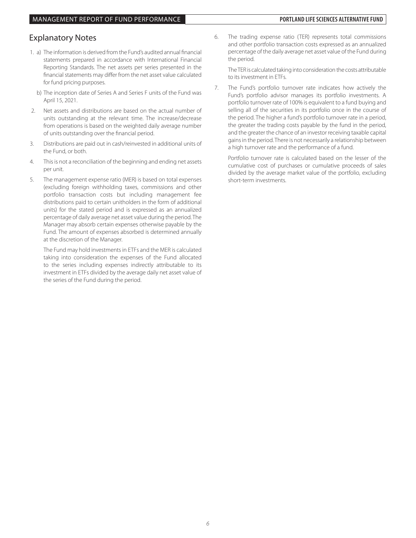## Explanatory Notes

- 1. a) The information is derived from the Fund's audited annual financial statements prepared in accordance with International Financial Reporting Standards. The net assets per series presented in the financial statements may differ from the net asset value calculated for fund pricing purposes.
	- b) The inception date of Series A and Series F units of the Fund was April 15, 2021.
- 2. Net assets and distributions are based on the actual number of units outstanding at the relevant time. The increase/decrease from operations is based on the weighted daily average number of units outstanding over the financial period.
- 3. Distributions are paid out in cash/reinvested in additional units of the Fund, or both.
- 4. This is not a reconciliation of the beginning and ending net assets per unit.
- 5. The management expense ratio (MER) is based on total expenses (excluding foreign withholding taxes, commissions and other portfolio transaction costs but including management fee distributions paid to certain unitholders in the form of additional units) for the stated period and is expressed as an annualized percentage of daily average net asset value during the period. The Manager may absorb certain expenses otherwise payable by the Fund. The amount of expenses absorbed is determined annually at the discretion of the Manager.

 The Fund may hold investments in ETFs and the MER is calculated taking into consideration the expenses of the Fund allocated to the series including expenses indirectly attributable to its investment in ETFs divided by the average daily net asset value of the series of the Fund during the period.

6. The trading expense ratio (TER) represents total commissions and other portfolio transaction costs expressed as an annualized percentage of the daily average net asset value of the Fund during the period.

 The TER is calculated taking into consideration the costs attributable to its investment in ETFs.

7. The Fund's portfolio turnover rate indicates how actively the Fund's portfolio advisor manages its portfolio investments. A portfolio turnover rate of 100% is equivalent to a fund buying and selling all of the securities in its portfolio once in the course of the period. The higher a fund's portfolio turnover rate in a period, the greater the trading costs payable by the fund in the period, and the greater the chance of an investor receiving taxable capital gains in the period. There is not necessarily a relationship between a high turnover rate and the performance of a fund.

 Portfolio turnover rate is calculated based on the lesser of the cumulative cost of purchases or cumulative proceeds of sales divided by the average market value of the portfolio, excluding short-term investments.